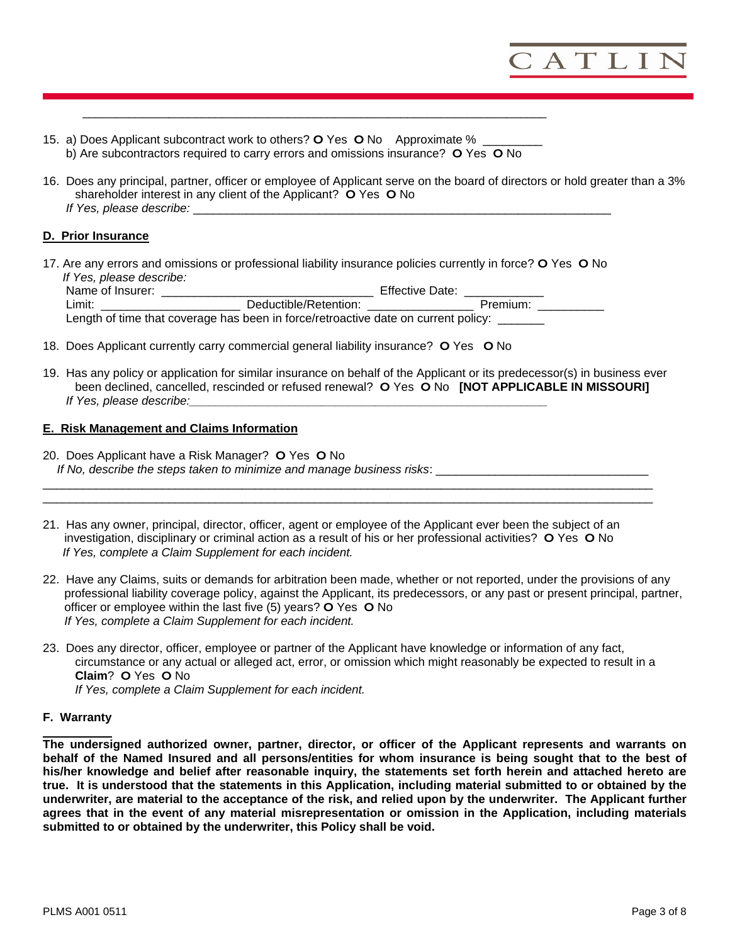

15. a) Does Applicant subcontract work to others? **O** Yes **O** No Approximate % \_\_\_\_\_\_\_\_\_ b) Are subcontractors required to carry errors and omissions insurance? **O** Yes **O** No

 $\overline{\phantom{a}}$  ,  $\overline{\phantom{a}}$  ,  $\overline{\phantom{a}}$  ,  $\overline{\phantom{a}}$  ,  $\overline{\phantom{a}}$  ,  $\overline{\phantom{a}}$  ,  $\overline{\phantom{a}}$  ,  $\overline{\phantom{a}}$  ,  $\overline{\phantom{a}}$  ,  $\overline{\phantom{a}}$  ,  $\overline{\phantom{a}}$  ,  $\overline{\phantom{a}}$  ,  $\overline{\phantom{a}}$  ,  $\overline{\phantom{a}}$  ,  $\overline{\phantom{a}}$  ,  $\overline{\phantom{a}}$ 

16. Does any principal, partner, officer or employee of Applicant serve on the board of directors or hold greater than a 3% shareholder interest in any client of the Applicant? **O** Yes **O** No *If Yes, please describe:* 

## **D. Prior Insurance**

17. Are any errors and omissions or professional liability insurance policies currently in force? **O** Yes **O** No  *If Yes, please describe:* 

| Name of Insurer: |                                                                                    | <b>Effective Date:</b> |          |
|------------------|------------------------------------------------------------------------------------|------------------------|----------|
| ∟imit:           | Deductible/Retention:                                                              |                        | Premium: |
|                  | Length of time that coverage has been in force/retroactive date on current policy: |                        |          |

- 18. Does Applicant currently carry commercial general liability insurance? **O** Yes **O** No
- 19. Has any policy or application for similar insurance on behalf of the Applicant or its predecessor(s) in business ever been declined, cancelled, rescinded or refused renewal? **O** Yes **O** No **[NOT APPLICABLE IN MISSOURI]** *If Yes, please describe:*

#### **E. Risk Management and Claims Information**

- 20. Does Applicant have a Risk Manager? **O** Yes **O** No  *If No, describe the steps taken to minimize and manage business risks*: \_\_\_\_\_\_\_\_\_\_\_\_\_\_\_\_\_\_\_\_\_\_\_\_\_\_\_\_\_\_\_\_
- 21. Has any owner, principal, director, officer, agent or employee of the Applicant ever been the subject of an investigation, disciplinary or criminal action as a result of his or her professional activities? **O** Yes **O** No *If Yes, complete a Claim Supplement for each incident.*

\_\_\_\_\_\_\_\_\_\_\_\_\_\_\_\_\_\_\_\_\_\_\_\_\_\_\_\_\_\_\_\_\_\_\_\_\_\_\_\_\_\_\_\_\_\_\_\_\_\_\_\_\_\_\_\_\_\_\_\_\_\_\_\_\_\_\_\_\_\_\_\_\_\_\_\_\_\_\_\_\_\_\_\_\_\_\_\_\_\_\_\_  $\Box$ 

- 22. Have any Claims, suits or demands for arbitration been made, whether or not reported, under the provisions of any professional liability coverage policy, against the Applicant, its predecessors, or any past or present principal, partner, officer or employee within the last five (5) years? **O** Yes **O** No *If Yes, complete a Claim Supplement for each incident.*
- 23. Does any director, officer, employee or partner of the Applicant have knowledge or information of any fact, circumstance or any actual or alleged act, error, or omission which might reasonably be expected to result in a **Claim**? **O** Yes **O** No *If Yes, complete a Claim Supplement for each incident.*

#### **F. Warranty**

**The undersigned authorized owner, partner, director, or officer of the Applicant represents and warrants on behalf of the Named Insured and all persons/entities for whom insurance is being sought that to the best of his/her knowledge and belief after reasonable inquiry, the statements set forth herein and attached hereto are true. It is understood that the statements in this Application, including material submitted to or obtained by the underwriter, are material to the acceptance of the risk, and relied upon by the underwriter. The Applicant further agrees that in the event of any material misrepresentation or omission in the Application, including materials submitted to or obtained by the underwriter, this Policy shall be void.**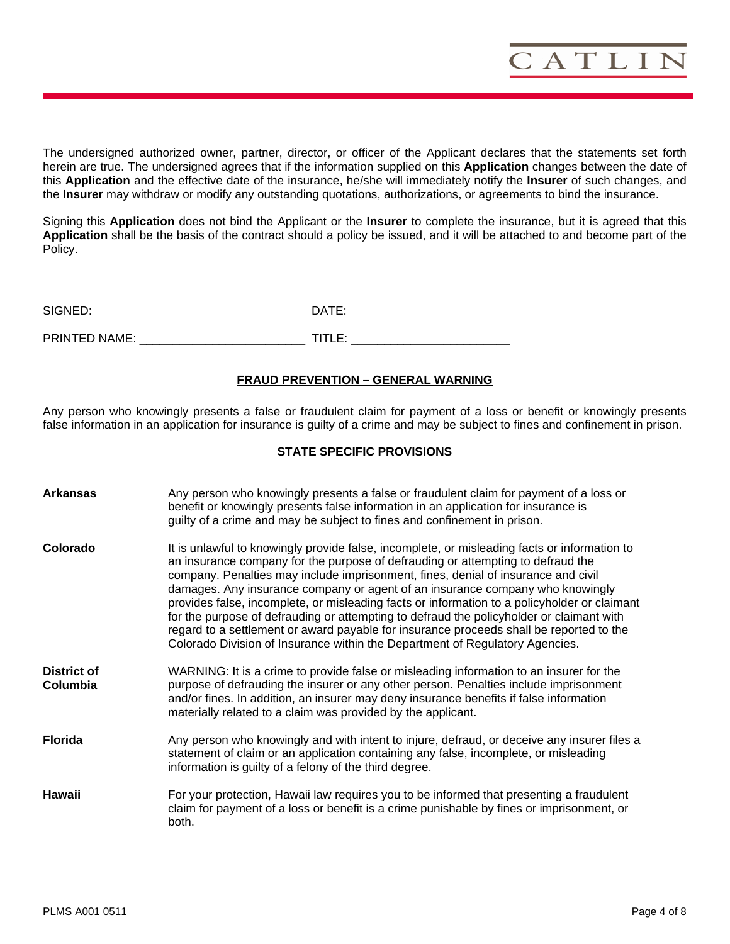

The undersigned authorized owner, partner, director, or officer of the Applicant declares that the statements set forth herein are true. The undersigned agrees that if the information supplied on this **Application** changes between the date of this **Application** and the effective date of the insurance, he/she will immediately notify the **Insurer** of such changes, and the **Insurer** may withdraw or modify any outstanding quotations, authorizations, or agreements to bind the insurance.

Signing this **Application** does not bind the Applicant or the **Insurer** to complete the insurance, but it is agreed that this **Application** shall be the basis of the contract should a policy be issued, and it will be attached to and become part of the Policy.

| SIGNED:       | זד∆רו<br>- - |
|---------------|--------------|
|               |              |
| PRINTED NAME: |              |

## **FRAUD PREVENTION – GENERAL WARNING**

Any person who knowingly presents a false or fraudulent claim for payment of a loss or benefit or knowingly presents false information in an application for insurance is guilty of a crime and may be subject to fines and confinement in prison.

#### **STATE SPECIFIC PROVISIONS**

| <b>Arkansas</b>                | Any person who knowingly presents a false or fraudulent claim for payment of a loss or<br>benefit or knowingly presents false information in an application for insurance is<br>guilty of a crime and may be subject to fines and confinement in prison.                                                                                                                                                                                                                                                                                                                                                                                                                                                                     |
|--------------------------------|------------------------------------------------------------------------------------------------------------------------------------------------------------------------------------------------------------------------------------------------------------------------------------------------------------------------------------------------------------------------------------------------------------------------------------------------------------------------------------------------------------------------------------------------------------------------------------------------------------------------------------------------------------------------------------------------------------------------------|
| Colorado                       | It is unlawful to knowingly provide false, incomplete, or misleading facts or information to<br>an insurance company for the purpose of defrauding or attempting to defraud the<br>company. Penalties may include imprisonment, fines, denial of insurance and civil<br>damages. Any insurance company or agent of an insurance company who knowingly<br>provides false, incomplete, or misleading facts or information to a policyholder or claimant<br>for the purpose of defrauding or attempting to defraud the policyholder or claimant with<br>regard to a settlement or award payable for insurance proceeds shall be reported to the<br>Colorado Division of Insurance within the Department of Regulatory Agencies. |
| <b>District of</b><br>Columbia | WARNING: It is a crime to provide false or misleading information to an insurer for the<br>purpose of defrauding the insurer or any other person. Penalties include imprisonment<br>and/or fines. In addition, an insurer may deny insurance benefits if false information<br>materially related to a claim was provided by the applicant.                                                                                                                                                                                                                                                                                                                                                                                   |
| <b>Florida</b>                 | Any person who knowingly and with intent to injure, defraud, or deceive any insurer files a<br>statement of claim or an application containing any false, incomplete, or misleading<br>information is guilty of a felony of the third degree.                                                                                                                                                                                                                                                                                                                                                                                                                                                                                |
| Hawaii                         | For your protection, Hawaii law requires you to be informed that presenting a fraudulent<br>claim for payment of a loss or benefit is a crime punishable by fines or imprisonment, or<br>both.                                                                                                                                                                                                                                                                                                                                                                                                                                                                                                                               |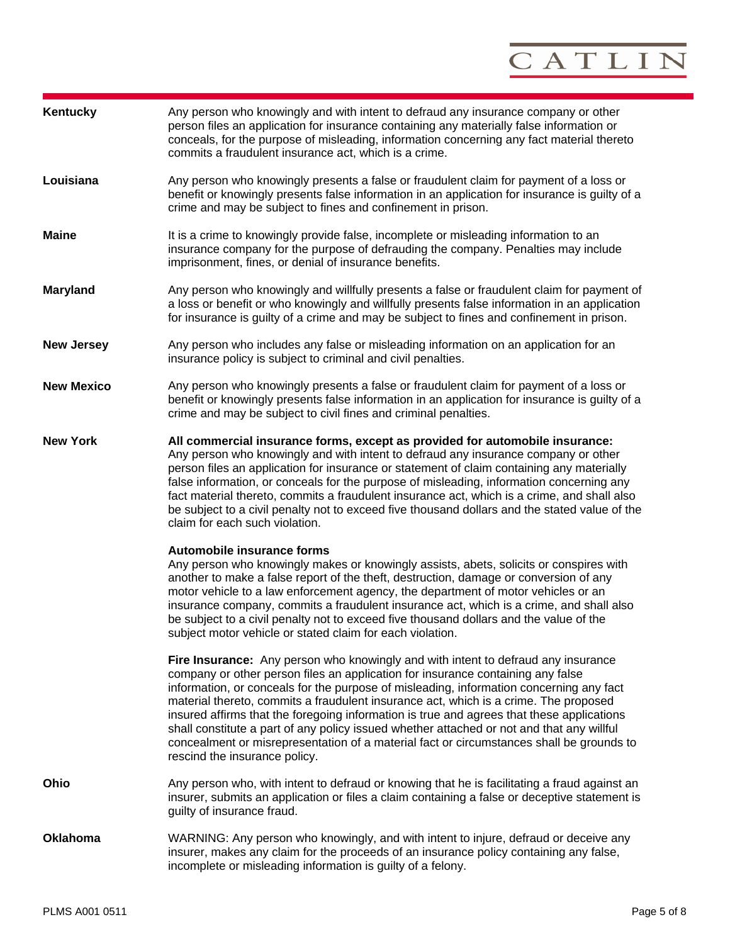

| Kentucky          | Any person who knowingly and with intent to defraud any insurance company or other<br>person files an application for insurance containing any materially false information or<br>conceals, for the purpose of misleading, information concerning any fact material thereto<br>commits a fraudulent insurance act, which is a crime.                                                                                                                                                                                                                                                                                                                                                  |
|-------------------|---------------------------------------------------------------------------------------------------------------------------------------------------------------------------------------------------------------------------------------------------------------------------------------------------------------------------------------------------------------------------------------------------------------------------------------------------------------------------------------------------------------------------------------------------------------------------------------------------------------------------------------------------------------------------------------|
| Louisiana         | Any person who knowingly presents a false or fraudulent claim for payment of a loss or<br>benefit or knowingly presents false information in an application for insurance is guilty of a<br>crime and may be subject to fines and confinement in prison.                                                                                                                                                                                                                                                                                                                                                                                                                              |
| <b>Maine</b>      | It is a crime to knowingly provide false, incomplete or misleading information to an<br>insurance company for the purpose of defrauding the company. Penalties may include<br>imprisonment, fines, or denial of insurance benefits.                                                                                                                                                                                                                                                                                                                                                                                                                                                   |
| <b>Maryland</b>   | Any person who knowingly and willfully presents a false or fraudulent claim for payment of<br>a loss or benefit or who knowingly and willfully presents false information in an application<br>for insurance is guilty of a crime and may be subject to fines and confinement in prison.                                                                                                                                                                                                                                                                                                                                                                                              |
| <b>New Jersey</b> | Any person who includes any false or misleading information on an application for an<br>insurance policy is subject to criminal and civil penalties.                                                                                                                                                                                                                                                                                                                                                                                                                                                                                                                                  |
| <b>New Mexico</b> | Any person who knowingly presents a false or fraudulent claim for payment of a loss or<br>benefit or knowingly presents false information in an application for insurance is guilty of a<br>crime and may be subject to civil fines and criminal penalties.                                                                                                                                                                                                                                                                                                                                                                                                                           |
| <b>New York</b>   | All commercial insurance forms, except as provided for automobile insurance:<br>Any person who knowingly and with intent to defraud any insurance company or other<br>person files an application for insurance or statement of claim containing any materially<br>false information, or conceals for the purpose of misleading, information concerning any<br>fact material thereto, commits a fraudulent insurance act, which is a crime, and shall also<br>be subject to a civil penalty not to exceed five thousand dollars and the stated value of the<br>claim for each such violation.                                                                                         |
|                   | Automobile insurance forms<br>Any person who knowingly makes or knowingly assists, abets, solicits or conspires with<br>another to make a false report of the theft, destruction, damage or conversion of any<br>motor vehicle to a law enforcement agency, the department of motor vehicles or an<br>insurance company, commits a fraudulent insurance act, which is a crime, and shall also<br>be subject to a civil penalty not to exceed five thousand dollars and the value of the<br>subject motor vehicle or stated claim for each violation.                                                                                                                                  |
|                   | <b>Fire Insurance:</b> Any person who knowingly and with intent to defraud any insurance<br>company or other person files an application for insurance containing any false<br>information, or conceals for the purpose of misleading, information concerning any fact<br>material thereto, commits a fraudulent insurance act, which is a crime. The proposed<br>insured affirms that the foregoing information is true and agrees that these applications<br>shall constitute a part of any policy issued whether attached or not and that any willful<br>concealment or misrepresentation of a material fact or circumstances shall be grounds to<br>rescind the insurance policy. |
| Ohio              | Any person who, with intent to defraud or knowing that he is facilitating a fraud against an<br>insurer, submits an application or files a claim containing a false or deceptive statement is<br>guilty of insurance fraud.                                                                                                                                                                                                                                                                                                                                                                                                                                                           |
| <b>Oklahoma</b>   | WARNING: Any person who knowingly, and with intent to injure, defraud or deceive any<br>insurer, makes any claim for the proceeds of an insurance policy containing any false,<br>incomplete or misleading information is guilty of a felony.                                                                                                                                                                                                                                                                                                                                                                                                                                         |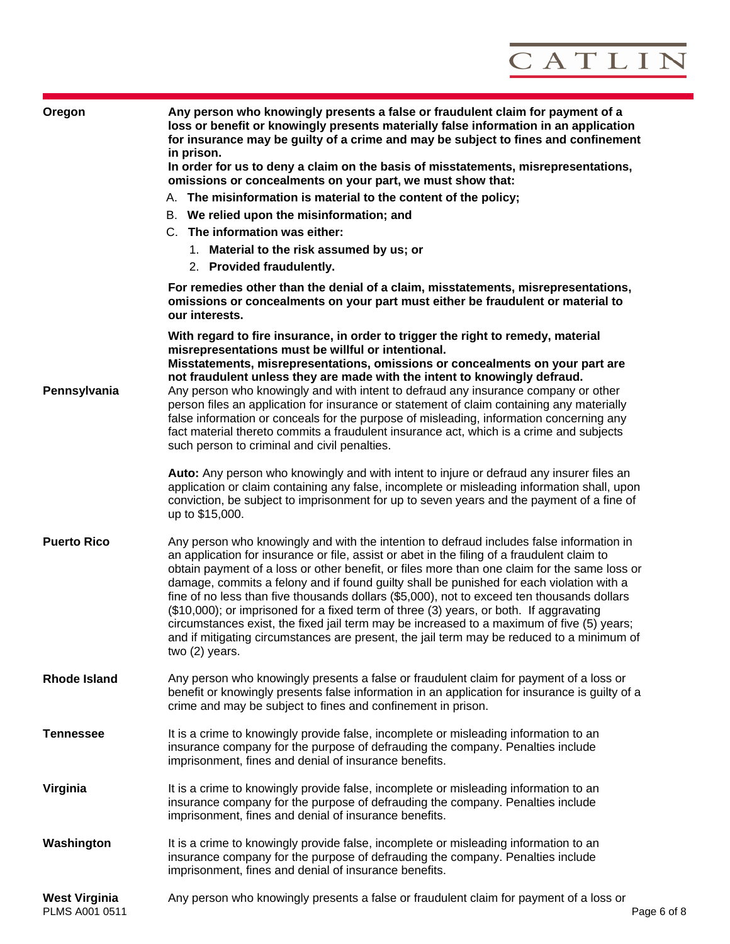

| Oregon                                 | Any person who knowingly presents a false or fraudulent claim for payment of a<br>loss or benefit or knowingly presents materially false information in an application<br>for insurance may be guilty of a crime and may be subject to fines and confinement<br>in prison.<br>In order for us to deny a claim on the basis of misstatements, misrepresentations,                                                                                                                                                                                                                                                                                                                                                                                                                        |
|----------------------------------------|-----------------------------------------------------------------------------------------------------------------------------------------------------------------------------------------------------------------------------------------------------------------------------------------------------------------------------------------------------------------------------------------------------------------------------------------------------------------------------------------------------------------------------------------------------------------------------------------------------------------------------------------------------------------------------------------------------------------------------------------------------------------------------------------|
|                                        | omissions or concealments on your part, we must show that:                                                                                                                                                                                                                                                                                                                                                                                                                                                                                                                                                                                                                                                                                                                              |
|                                        | A. The misinformation is material to the content of the policy;                                                                                                                                                                                                                                                                                                                                                                                                                                                                                                                                                                                                                                                                                                                         |
|                                        | B. We relied upon the misinformation; and<br>C. The information was either:                                                                                                                                                                                                                                                                                                                                                                                                                                                                                                                                                                                                                                                                                                             |
|                                        |                                                                                                                                                                                                                                                                                                                                                                                                                                                                                                                                                                                                                                                                                                                                                                                         |
|                                        | 1. Material to the risk assumed by us; or<br>2. Provided fraudulently.                                                                                                                                                                                                                                                                                                                                                                                                                                                                                                                                                                                                                                                                                                                  |
|                                        |                                                                                                                                                                                                                                                                                                                                                                                                                                                                                                                                                                                                                                                                                                                                                                                         |
|                                        | For remedies other than the denial of a claim, misstatements, misrepresentations,<br>omissions or concealments on your part must either be fraudulent or material to<br>our interests.                                                                                                                                                                                                                                                                                                                                                                                                                                                                                                                                                                                                  |
|                                        | With regard to fire insurance, in order to trigger the right to remedy, material<br>misrepresentations must be willful or intentional.                                                                                                                                                                                                                                                                                                                                                                                                                                                                                                                                                                                                                                                  |
| Pennsylvania                           | Misstatements, misrepresentations, omissions or concealments on your part are<br>not fraudulent unless they are made with the intent to knowingly defraud.<br>Any person who knowingly and with intent to defraud any insurance company or other<br>person files an application for insurance or statement of claim containing any materially<br>false information or conceals for the purpose of misleading, information concerning any<br>fact material thereto commits a fraudulent insurance act, which is a crime and subjects<br>such person to criminal and civil penalties.                                                                                                                                                                                                     |
|                                        | Auto: Any person who knowingly and with intent to injure or defraud any insurer files an<br>application or claim containing any false, incomplete or misleading information shall, upon<br>conviction, be subject to imprisonment for up to seven years and the payment of a fine of<br>up to \$15,000.                                                                                                                                                                                                                                                                                                                                                                                                                                                                                 |
| <b>Puerto Rico</b>                     | Any person who knowingly and with the intention to defraud includes false information in<br>an application for insurance or file, assist or abet in the filing of a fraudulent claim to<br>obtain payment of a loss or other benefit, or files more than one claim for the same loss or<br>damage, commits a felony and if found guilty shall be punished for each violation with a<br>fine of no less than five thousands dollars (\$5,000), not to exceed ten thousands dollars<br>(\$10,000); or imprisoned for a fixed term of three (3) years, or both. If aggravating<br>circumstances exist, the fixed jail term may be increased to a maximum of five (5) years;<br>and if mitigating circumstances are present, the jail term may be reduced to a minimum of<br>two (2) years. |
| <b>Rhode Island</b>                    | Any person who knowingly presents a false or fraudulent claim for payment of a loss or<br>benefit or knowingly presents false information in an application for insurance is guilty of a<br>crime and may be subject to fines and confinement in prison.                                                                                                                                                                                                                                                                                                                                                                                                                                                                                                                                |
| <b>Tennessee</b>                       | It is a crime to knowingly provide false, incomplete or misleading information to an<br>insurance company for the purpose of defrauding the company. Penalties include<br>imprisonment, fines and denial of insurance benefits.                                                                                                                                                                                                                                                                                                                                                                                                                                                                                                                                                         |
| Virginia                               | It is a crime to knowingly provide false, incomplete or misleading information to an<br>insurance company for the purpose of defrauding the company. Penalties include<br>imprisonment, fines and denial of insurance benefits.                                                                                                                                                                                                                                                                                                                                                                                                                                                                                                                                                         |
| Washington                             | It is a crime to knowingly provide false, incomplete or misleading information to an<br>insurance company for the purpose of defrauding the company. Penalties include<br>imprisonment, fines and denial of insurance benefits.                                                                                                                                                                                                                                                                                                                                                                                                                                                                                                                                                         |
| <b>West Virginia</b><br>PLMS A001 0511 | Any person who knowingly presents a false or fraudulent claim for payment of a loss or<br>Page 6 of 8                                                                                                                                                                                                                                                                                                                                                                                                                                                                                                                                                                                                                                                                                   |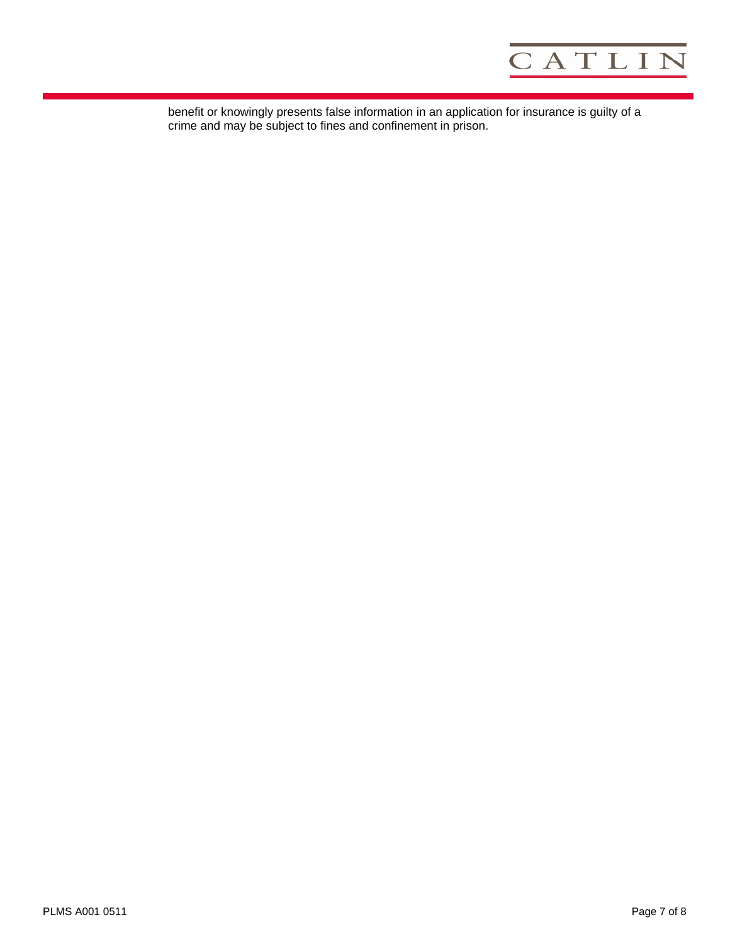

benefit or knowingly presents false information in an application for insurance is guilty of a crime and may be subject to fines and confinement in prison.